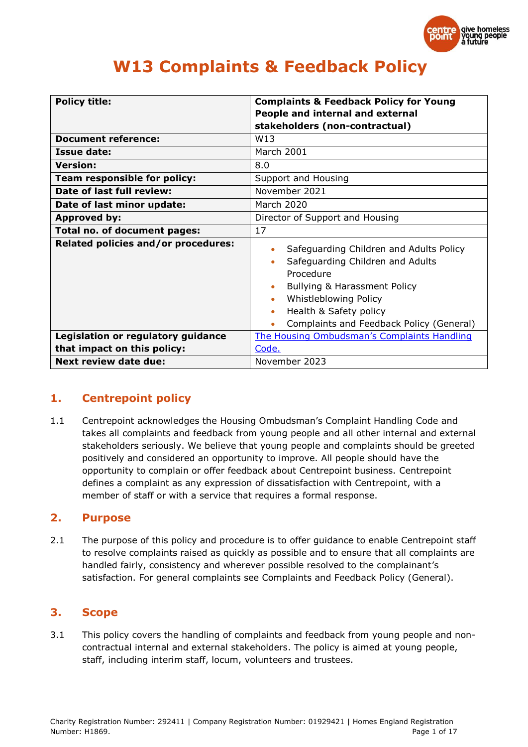

# **W13 Complaints & Feedback Policy**

| <b>Policy title:</b>                | <b>Complaints &amp; Feedback Policy for Young</b>                                                                                                                                                                            |
|-------------------------------------|------------------------------------------------------------------------------------------------------------------------------------------------------------------------------------------------------------------------------|
|                                     | People and internal and external                                                                                                                                                                                             |
|                                     | stakeholders (non-contractual)                                                                                                                                                                                               |
| <b>Document reference:</b>          | W13                                                                                                                                                                                                                          |
| Issue date:                         | March 2001                                                                                                                                                                                                                   |
| <b>Version:</b>                     | 8.0                                                                                                                                                                                                                          |
| Team responsible for policy:        | Support and Housing                                                                                                                                                                                                          |
| Date of last full review:           | November 2021                                                                                                                                                                                                                |
| Date of last minor update:          | <b>March 2020</b>                                                                                                                                                                                                            |
| <b>Approved by:</b>                 | Director of Support and Housing                                                                                                                                                                                              |
| Total no. of document pages:        | 17                                                                                                                                                                                                                           |
| Related policies and/or procedures: | Safeguarding Children and Adults Policy<br>Safeguarding Children and Adults<br>٠<br>Procedure<br>Bullying & Harassment Policy<br>Whistleblowing Policy<br>Health & Safety policy<br>Complaints and Feedback Policy (General) |
| Legislation or regulatory guidance  | The Housing Ombudsman's Complaints Handling                                                                                                                                                                                  |
| that impact on this policy:         | Code.                                                                                                                                                                                                                        |
| Next review date due:               | November 2023                                                                                                                                                                                                                |

# **1. Centrepoint policy**

1.1 Centrepoint acknowledges the Housing Ombudsman's Complaint Handling Code and takes all complaints and feedback from young people and all other internal and external stakeholders seriously. We believe that young people and complaints should be greeted positively and considered an opportunity to improve. All people should have the opportunity to complain or offer feedback about Centrepoint business. Centrepoint defines a complaint as any expression of dissatisfaction with Centrepoint, with a member of staff or with a service that requires a formal response.

## **2. Purpose**

2.1 The purpose of this policy and procedure is to offer quidance to enable Centrepoint staff to resolve complaints raised as quickly as possible and to ensure that all complaints are handled fairly, consistency and wherever possible resolved to the complainant's satisfaction. For general complaints see Complaints and Feedback Policy (General).

## **3. Scope**

3.1 This policy covers the handling of complaints and feedback from young people and noncontractual internal and external stakeholders. The policy is aimed at young people, staff, including interim staff, locum, volunteers and trustees.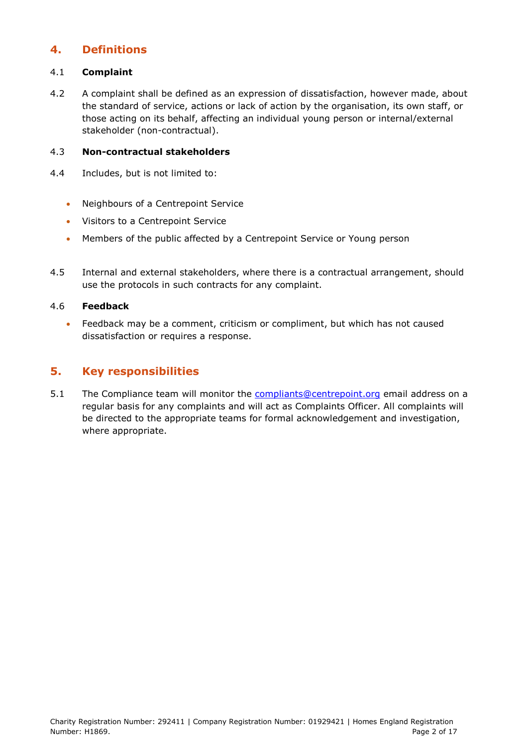# **4. Definitions**

#### 4.1 **Complaint**

4.2 A complaint shall be defined as an expression of dissatisfaction, however made, about the standard of service, actions or lack of action by the organisation, its own staff, or those acting on its behalf, affecting an individual young person or internal/external stakeholder (non-contractual).

#### 4.3 **Non-contractual stakeholders**

- 4.4 Includes, but is not limited to:
	- Neighbours of a Centrepoint Service
	- Visitors to a Centrepoint Service
	- Members of the public affected by a Centrepoint Service or Young person
- 4.5 Internal and external stakeholders, where there is a contractual arrangement, should use the protocols in such contracts for any complaint.

#### 4.6 **Feedback**

 Feedback may be a comment, criticism or compliment, but which has not caused dissatisfaction or requires a response.

## **5. Key responsibilities**

5.1 The Compliance team will monitor the [compliants@centrepoint.org](mailto:compliants@centrepoint.org) email address on a regular basis for any complaints and will act as Complaints Officer. All complaints will be directed to the appropriate teams for formal acknowledgement and investigation, where appropriate.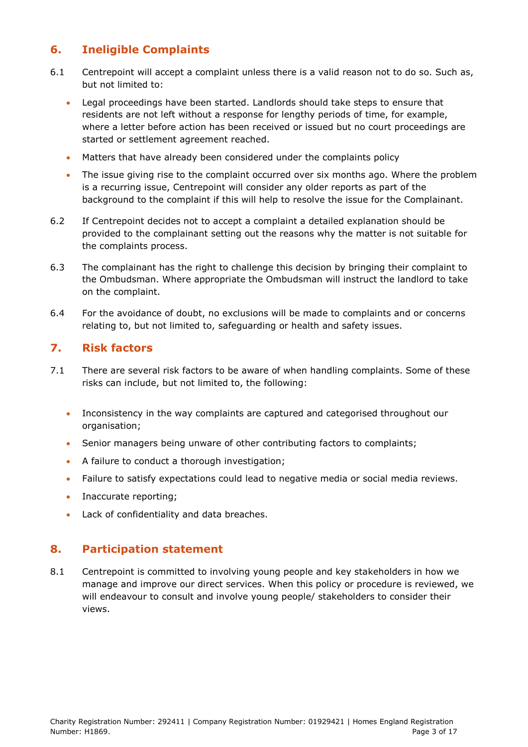# **6. Ineligible Complaints**

- 6.1 Centrepoint will accept a complaint unless there is a valid reason not to do so. Such as, but not limited to:
	- Legal proceedings have been started. Landlords should take steps to ensure that residents are not left without a response for lengthy periods of time, for example, where a letter before action has been received or issued but no court proceedings are started or settlement agreement reached.
	- Matters that have already been considered under the complaints policy
	- The issue giving rise to the complaint occurred over six months ago. Where the problem is a recurring issue, Centrepoint will consider any older reports as part of the background to the complaint if this will help to resolve the issue for the Complainant.
- 6.2 If Centrepoint decides not to accept a complaint a detailed explanation should be provided to the complainant setting out the reasons why the matter is not suitable for the complaints process.
- 6.3 The complainant has the right to challenge this decision by bringing their complaint to the Ombudsman. Where appropriate the Ombudsman will instruct the landlord to take on the complaint.
- 6.4 For the avoidance of doubt, no exclusions will be made to complaints and or concerns relating to, but not limited to, safeguarding or health and safety issues.

# **7. Risk factors**

- 7.1 There are several risk factors to be aware of when handling complaints. Some of these risks can include, but not limited to, the following:
	- Inconsistency in the way complaints are captured and categorised throughout our organisation;
	- Senior managers being unware of other contributing factors to complaints;
	- A failure to conduct a thorough investigation;
	- Failure to satisfy expectations could lead to negative media or social media reviews.
	- Inaccurate reporting;
	- Lack of confidentiality and data breaches.

## **8. Participation statement**

8.1 Centrepoint is committed to involving young people and key stakeholders in how we manage and improve our direct services. When this policy or procedure is reviewed, we will endeavour to consult and involve young people/ stakeholders to consider their views.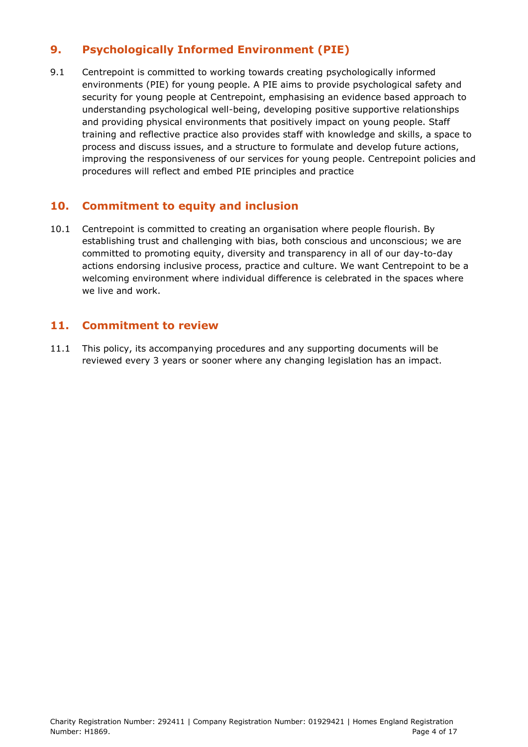# **9. Psychologically Informed Environment (PIE)**

9.1 Centrepoint is committed to working towards creating psychologically informed environments (PIE) for young people. A PIE aims to provide psychological safety and security for young people at Centrepoint, emphasising an evidence based approach to understanding psychological well-being, developing positive supportive relationships and providing physical environments that positively impact on young people. Staff training and reflective practice also provides staff with knowledge and skills, a space to process and discuss issues, and a structure to formulate and develop future actions, improving the responsiveness of our services for young people. Centrepoint policies and procedures will reflect and embed PIE principles and practice

# **10. Commitment to equity and inclusion**

10.1 Centrepoint is committed to creating an organisation where people flourish. By establishing trust and challenging with bias, both conscious and unconscious; we are committed to promoting equity, diversity and transparency in all of our day-to-day actions endorsing inclusive process, practice and culture. We want Centrepoint to be a welcoming environment where individual difference is celebrated in the spaces where we live and work.

# **11. Commitment to review**

11.1 This policy, its accompanying procedures and any supporting documents will be reviewed every 3 years or sooner where any changing legislation has an impact.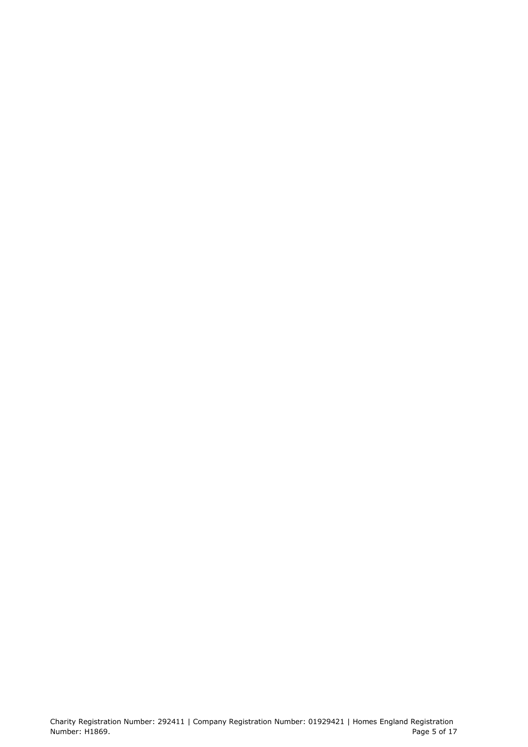Charity Registration Number: 292411 | Company Registration Number: 01929421 | Homes England Registration Number: H1869. Page 5 of 17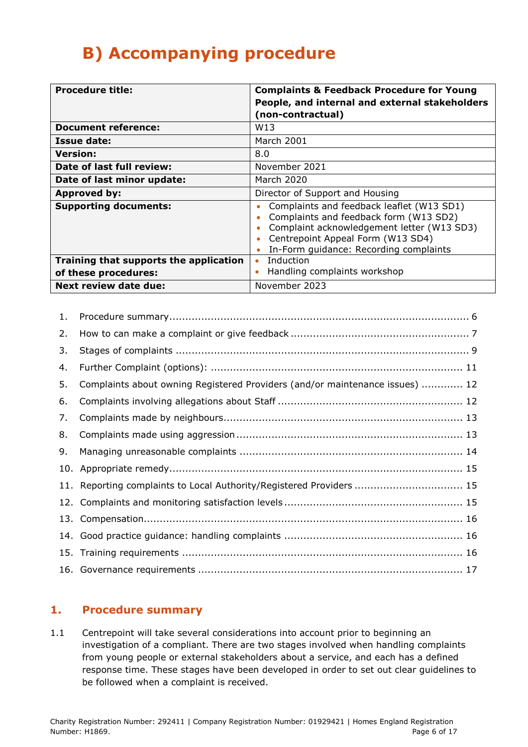# **B) Accompanying procedure**

| <b>Procedure title:</b>                | <b>Complaints &amp; Feedback Procedure for Young</b>                                                                                                                                                             |
|----------------------------------------|------------------------------------------------------------------------------------------------------------------------------------------------------------------------------------------------------------------|
|                                        | People, and internal and external stakeholders                                                                                                                                                                   |
|                                        | (non-contractual)                                                                                                                                                                                                |
| <b>Document reference:</b>             | W13                                                                                                                                                                                                              |
| Issue date:                            | March 2001                                                                                                                                                                                                       |
| <b>Version:</b>                        | 8.0                                                                                                                                                                                                              |
| Date of last full review:              | November 2021                                                                                                                                                                                                    |
| Date of last minor update:             | March 2020                                                                                                                                                                                                       |
| <b>Approved by:</b>                    | Director of Support and Housing                                                                                                                                                                                  |
| <b>Supporting documents:</b>           | Complaints and feedback leaflet (W13 SD1)<br>Complaints and feedback form (W13 SD2)<br>Complaint acknowledgement letter (W13 SD3)<br>Centrepoint Appeal Form (W13 SD4)<br>In-Form guidance: Recording complaints |
| Training that supports the application | Induction                                                                                                                                                                                                        |
| of these procedures:                   | Handling complaints workshop                                                                                                                                                                                     |
| <b>Next review date due:</b>           | November 2023                                                                                                                                                                                                    |

| 1.  |                                                                              |
|-----|------------------------------------------------------------------------------|
| 2.  |                                                                              |
| 3.  |                                                                              |
| 4.  |                                                                              |
| 5.  | Complaints about owning Registered Providers (and/or maintenance issues)  12 |
| 6.  |                                                                              |
| 7.  |                                                                              |
| 8.  |                                                                              |
| 9.  |                                                                              |
| 10. |                                                                              |
|     | 11. Reporting complaints to Local Authority/Registered Providers  15         |
|     |                                                                              |
| 13. |                                                                              |
|     |                                                                              |
|     |                                                                              |
|     |                                                                              |

# <span id="page-5-0"></span>**1. Procedure summary**

1.1 Centrepoint will take several considerations into account prior to beginning an investigation of a compliant. There are two stages involved when handling complaints from young people or external stakeholders about a service, and each has a defined response time. These stages have been developed in order to set out clear guidelines to be followed when a complaint is received.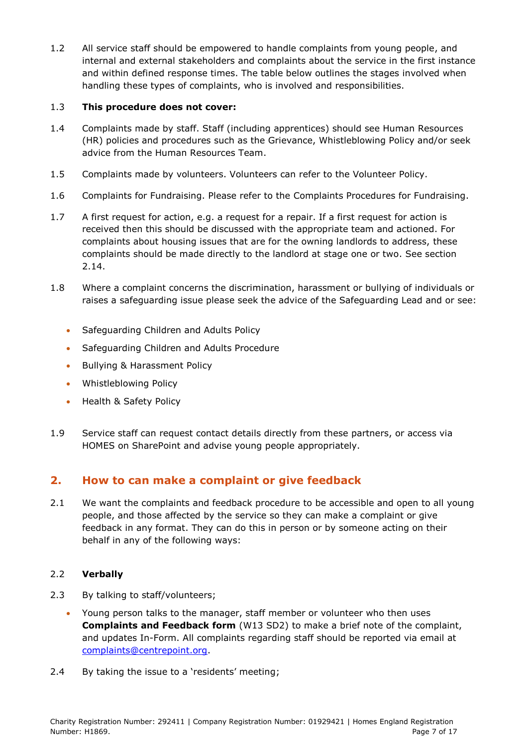1.2 All service staff should be empowered to handle complaints from young people, and internal and external stakeholders and complaints about the service in the first instance and within defined response times. The table below outlines the stages involved when handling these types of complaints, who is involved and responsibilities.

#### 1.3 **This procedure does not cover:**

- 1.4 Complaints made by staff. Staff (including apprentices) should see Human Resources (HR) policies and procedures such as the Grievance, Whistleblowing Policy and/or seek advice from the Human Resources Team.
- 1.5 Complaints made by volunteers. Volunteers can refer to the Volunteer Policy.
- 1.6 Complaints for Fundraising. Please refer to the Complaints Procedures for Fundraising.
- 1.7 A first request for action, e.g. a request for a repair. If a first request for action is received then this should be discussed with the appropriate team and actioned. For complaints about housing issues that are for the owning landlords to address, these complaints should be made directly to the landlord at stage one or two. See section 2.14.
- 1.8 Where a complaint concerns the discrimination, harassment or bullying of individuals or raises a safeguarding issue please seek the advice of the Safeguarding Lead and or see:
	- Safeguarding Children and Adults Policy
	- Safeguarding Children and Adults Procedure
	- Bullying & Harassment Policy
	- Whistleblowing Policy
	- Health & Safety Policy
- 1.9 Service staff can request contact details directly from these partners, or access via HOMES on SharePoint and advise young people appropriately.

# <span id="page-6-0"></span>**2. How to can make a complaint or give feedback**

2.1 We want the complaints and feedback procedure to be accessible and open to all young people, and those affected by the service so they can make a complaint or give feedback in any format. They can do this in person or by someone acting on their behalf in any of the following ways:

#### 2.2 **Verbally**

- 2.3 By talking to staff/volunteers;
	- Young person talks to the manager, staff member or volunteer who then uses **Complaints and Feedback form** (W13 SD2) to make a brief note of the complaint, and updates In-Form. All complaints regarding staff should be reported via email at [complaints@centrepoint.org.](mailto:complaints@centrepoint.org)
- 2.4 By taking the issue to a 'residents' meeting;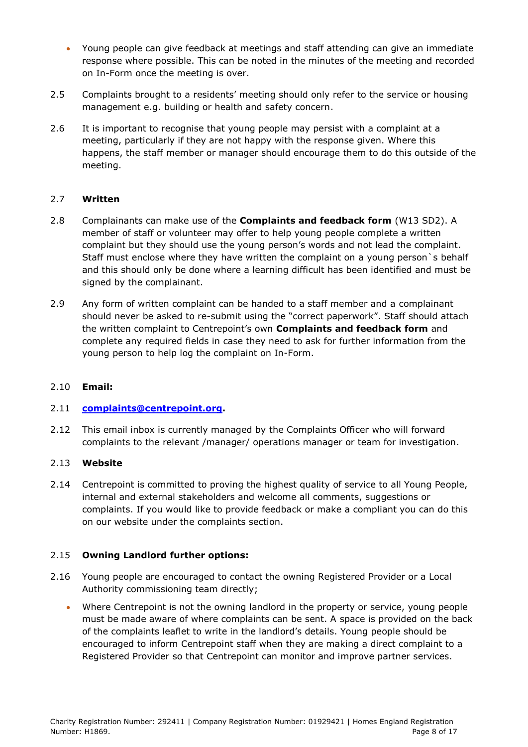- Young people can give feedback at meetings and staff attending can give an immediate response where possible. This can be noted in the minutes of the meeting and recorded on In-Form once the meeting is over.
- 2.5 Complaints brought to a residents' meeting should only refer to the service or housing management e.g. building or health and safety concern.
- 2.6 It is important to recognise that young people may persist with a complaint at a meeting, particularly if they are not happy with the response given. Where this happens, the staff member or manager should encourage them to do this outside of the meeting.

#### 2.7 **Written**

- 2.8 Complainants can make use of the **Complaints and feedback form** (W13 SD2). A member of staff or volunteer may offer to help young people complete a written complaint but they should use the young person's words and not lead the complaint. Staff must enclose where they have written the complaint on a young person`s behalf and this should only be done where a learning difficult has been identified and must be signed by the complainant.
- 2.9 Any form of written complaint can be handed to a staff member and a complainant should never be asked to re-submit using the "correct paperwork". Staff should attach the written complaint to Centrepoint's own **Complaints and feedback form** and complete any required fields in case they need to ask for further information from the young person to help log the complaint on In-Form.

#### 2.10 **Email:**

#### 2.11 **[complaints@centrepoint.org.](mailto:complaints@centrepoint.org)**

2.12 This email inbox is currently managed by the Complaints Officer who will forward complaints to the relevant /manager/ operations manager or team for investigation.

#### 2.13 **Website**

2.14 Centrepoint is committed to proving the highest quality of service to all Young People, internal and external stakeholders and welcome all comments, suggestions or complaints. If you would like to provide feedback or make a compliant you can do this on our website under the complaints section.

#### 2.15 **Owning Landlord further options:**

- 2.16 Young people are encouraged to contact the owning Registered Provider or a Local Authority commissioning team directly;
	- Where Centrepoint is not the owning landlord in the property or service, young people must be made aware of where complaints can be sent. A space is provided on the back of the complaints leaflet to write in the landlord's details. Young people should be encouraged to inform Centrepoint staff when they are making a direct complaint to a Registered Provider so that Centrepoint can monitor and improve partner services.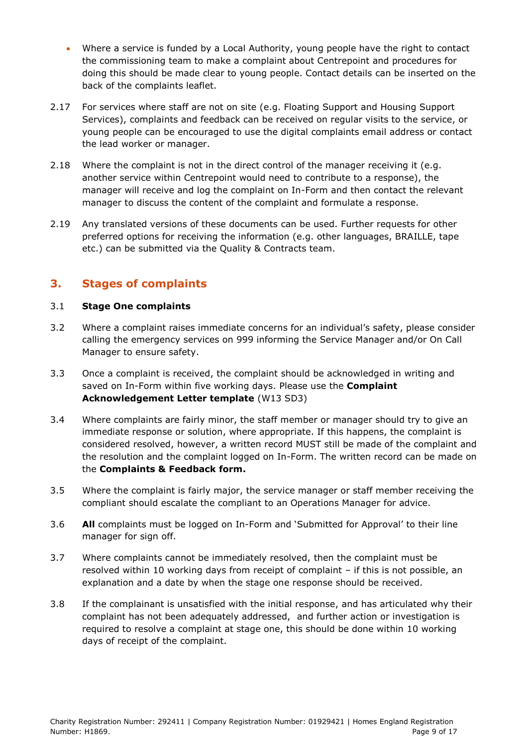- Where a service is funded by a Local Authority, young people have the right to contact the commissioning team to make a complaint about Centrepoint and procedures for doing this should be made clear to young people. Contact details can be inserted on the back of the complaints leaflet.
- 2.17 For services where staff are not on site (e.g. Floating Support and Housing Support Services), complaints and feedback can be received on regular visits to the service, or young people can be encouraged to use the digital complaints email address or contact the lead worker or manager.
- 2.18 Where the complaint is not in the direct control of the manager receiving it (e.g. another service within Centrepoint would need to contribute to a response), the manager will receive and log the complaint on In-Form and then contact the relevant manager to discuss the content of the complaint and formulate a response.
- 2.19 Any translated versions of these documents can be used. Further requests for other preferred options for receiving the information (e.g. other languages, BRAILLE, tape etc.) can be submitted via the Quality & Contracts team.

# <span id="page-8-0"></span>**3. Stages of complaints**

#### 3.1 **Stage One complaints**

- 3.2 Where a complaint raises immediate concerns for an individual's safety, please consider calling the emergency services on 999 informing the Service Manager and/or On Call Manager to ensure safety.
- 3.3 Once a complaint is received, the complaint should be acknowledged in writing and saved on In-Form within five working days. Please use the **Complaint Acknowledgement Letter template** (W13 SD3)
- 3.4 Where complaints are fairly minor, the staff member or manager should try to give an immediate response or solution, where appropriate. If this happens, the complaint is considered resolved, however, a written record MUST still be made of the complaint and the resolution and the complaint logged on In-Form. The written record can be made on the **Complaints & Feedback form.**
- 3.5 Where the complaint is fairly major, the service manager or staff member receiving the compliant should escalate the compliant to an Operations Manager for advice.
- 3.6 **All** complaints must be logged on In-Form and 'Submitted for Approval' to their line manager for sign off.
- 3.7 Where complaints cannot be immediately resolved, then the complaint must be resolved within 10 working days from receipt of complaint – if this is not possible, an explanation and a date by when the stage one response should be received.
- 3.8 If the complainant is unsatisfied with the initial response, and has articulated why their complaint has not been adequately addressed, and further action or investigation is required to resolve a complaint at stage one, this should be done within 10 working days of receipt of the complaint.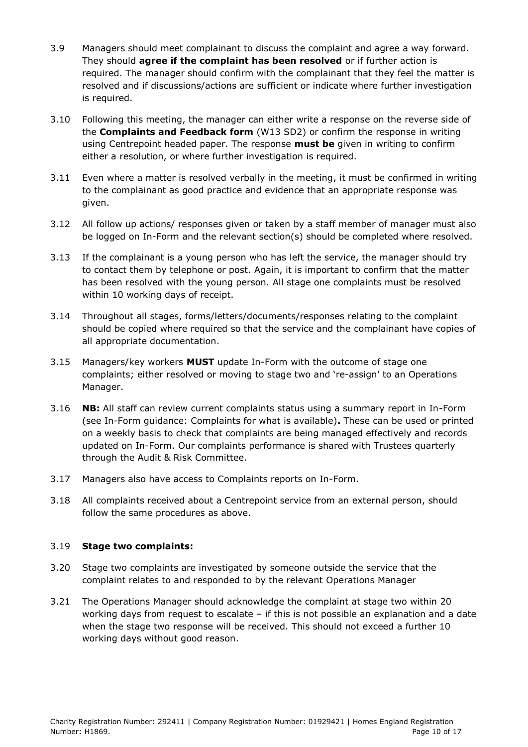- 3.9 Managers should meet complainant to discuss the complaint and agree a way forward. They should **agree if the complaint has been resolved** or if further action is required. The manager should confirm with the complainant that they feel the matter is resolved and if discussions/actions are sufficient or indicate where further investigation is required.
- 3.10 Following this meeting, the manager can either write a response on the reverse side of the **Complaints and Feedback form** (W13 SD2) or confirm the response in writing using Centrepoint headed paper. The response **must be** given in writing to confirm either a resolution, or where further investigation is required.
- 3.11 Even where a matter is resolved verbally in the meeting, it must be confirmed in writing to the complainant as good practice and evidence that an appropriate response was given.
- 3.12 All follow up actions/ responses given or taken by a staff member of manager must also be logged on In-Form and the relevant section(s) should be completed where resolved.
- 3.13 If the complainant is a young person who has left the service, the manager should try to contact them by telephone or post. Again, it is important to confirm that the matter has been resolved with the young person. All stage one complaints must be resolved within 10 working days of receipt.
- 3.14 Throughout all stages, forms/letters/documents/responses relating to the complaint should be copied where required so that the service and the complainant have copies of all appropriate documentation.
- 3.15 Managers/key workers **MUST** update In-Form with the outcome of stage one complaints; either resolved or moving to stage two and 're-assign' to an Operations Manager.
- 3.16 **NB:** All staff can review current complaints status using a summary report in In-Form (see In-Form guidance: Complaints for what is available)**.** These can be used or printed on a weekly basis to check that complaints are being managed effectively and records updated on In-Form. Our complaints performance is shared with Trustees quarterly through the Audit & Risk Committee.
- 3.17 Managers also have access to Complaints reports on In-Form.
- 3.18 All complaints received about a Centrepoint service from an external person, should follow the same procedures as above.

#### 3.19 **Stage two complaints:**

- 3.20 Stage two complaints are investigated by someone outside the service that the complaint relates to and responded to by the relevant Operations Manager
- 3.21 The Operations Manager should acknowledge the complaint at stage two within 20 working days from request to escalate – if this is not possible an explanation and a date when the stage two response will be received. This should not exceed a further 10 working days without good reason.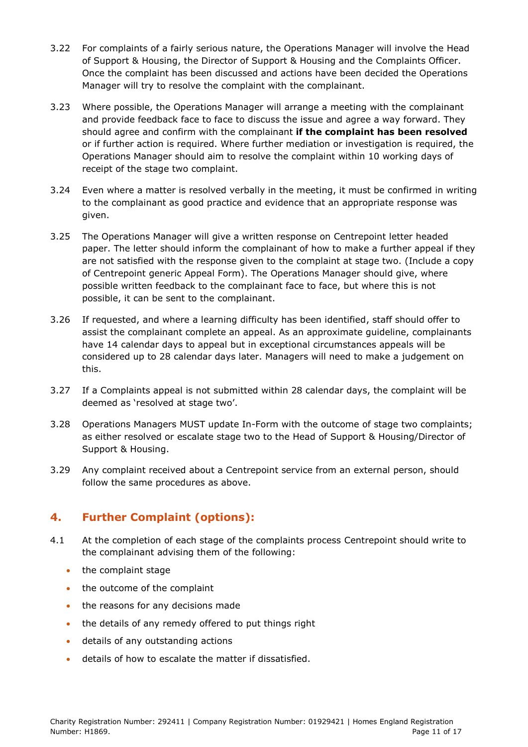- 3.22 For complaints of a fairly serious nature, the Operations Manager will involve the Head of Support & Housing, the Director of Support & Housing and the Complaints Officer. Once the complaint has been discussed and actions have been decided the Operations Manager will try to resolve the complaint with the complainant.
- 3.23 Where possible, the Operations Manager will arrange a meeting with the complainant and provide feedback face to face to discuss the issue and agree a way forward. They should agree and confirm with the complainant **if the complaint has been resolved** or if further action is required. Where further mediation or investigation is required, the Operations Manager should aim to resolve the complaint within 10 working days of receipt of the stage two complaint.
- 3.24 Even where a matter is resolved verbally in the meeting, it must be confirmed in writing to the complainant as good practice and evidence that an appropriate response was given.
- 3.25 The Operations Manager will give a written response on Centrepoint letter headed paper. The letter should inform the complainant of how to make a further appeal if they are not satisfied with the response given to the complaint at stage two. (Include a copy of Centrepoint generic Appeal Form). The Operations Manager should give, where possible written feedback to the complainant face to face, but where this is not possible, it can be sent to the complainant.
- 3.26 If requested, and where a learning difficulty has been identified, staff should offer to assist the complainant complete an appeal. As an approximate guideline, complainants have 14 calendar days to appeal but in exceptional circumstances appeals will be considered up to 28 calendar days later. Managers will need to make a judgement on this.
- 3.27 If a Complaints appeal is not submitted within 28 calendar days, the complaint will be deemed as 'resolved at stage two'.
- 3.28 Operations Managers MUST update In-Form with the outcome of stage two complaints; as either resolved or escalate stage two to the Head of Support & Housing/Director of Support & Housing.
- 3.29 Any complaint received about a Centrepoint service from an external person, should follow the same procedures as above.

# <span id="page-10-0"></span>**4. Further Complaint (options):**

- 4.1 At the completion of each stage of the complaints process Centrepoint should write to the complainant advising them of the following:
	- the complaint stage
	- the outcome of the complaint
	- the reasons for any decisions made
	- the details of any remedy offered to put things right
	- details of any outstanding actions
	- details of how to escalate the matter if dissatisfied.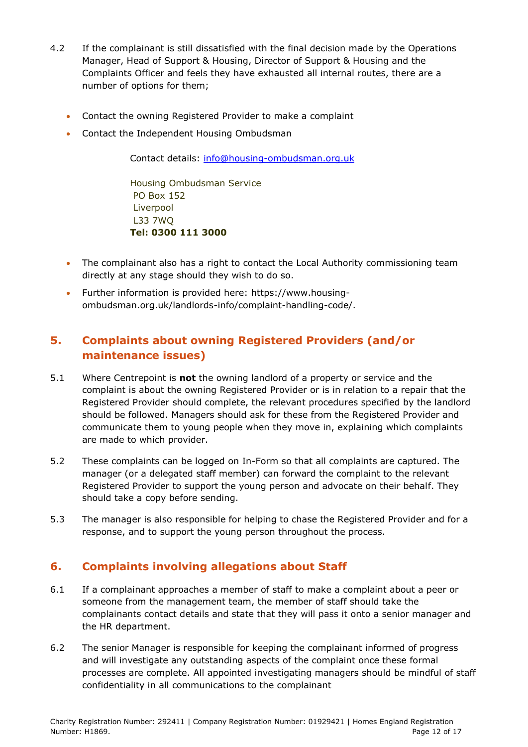- 4.2 If the complainant is still dissatisfied with the final decision made by the Operations Manager, Head of Support & Housing, Director of Support & Housing and the Complaints Officer and feels they have exhausted all internal routes, there are a number of options for them;
	- Contact the owning Registered Provider to make a complaint
	- Contact the Independent Housing Ombudsman

Contact details: [info@housing-ombudsman.org.uk](mailto:info@housing-ombudsman.org.uk)

Housing Ombudsman Service PO Box 152 Liverpool L33 7WQ **Tel: 0300 111 3000**

- The complainant also has a right to contact the Local Authority commissioning team directly at any stage should they wish to do so.
- Further information is provided here: https://www.housingombudsman.org.uk/landlords-info/complaint-handling-code/.

# <span id="page-11-0"></span>**5. Complaints about owning Registered Providers (and/or maintenance issues)**

- 5.1 Where Centrepoint is **not** the owning landlord of a property or service and the complaint is about the owning Registered Provider or is in relation to a repair that the Registered Provider should complete, the relevant procedures specified by the landlord should be followed. Managers should ask for these from the Registered Provider and communicate them to young people when they move in, explaining which complaints are made to which provider.
- 5.2 These complaints can be logged on In-Form so that all complaints are captured. The manager (or a delegated staff member) can forward the complaint to the relevant Registered Provider to support the young person and advocate on their behalf. They should take a copy before sending.
- 5.3 The manager is also responsible for helping to chase the Registered Provider and for a response, and to support the young person throughout the process.

# <span id="page-11-1"></span>**6. Complaints involving allegations about Staff**

- 6.1 If a complainant approaches a member of staff to make a complaint about a peer or someone from the management team, the member of staff should take the complainants contact details and state that they will pass it onto a senior manager and the HR department.
- 6.2 The senior Manager is responsible for keeping the complainant informed of progress and will investigate any outstanding aspects of the complaint once these formal processes are complete. All appointed investigating managers should be mindful of staff confidentiality in all communications to the complainant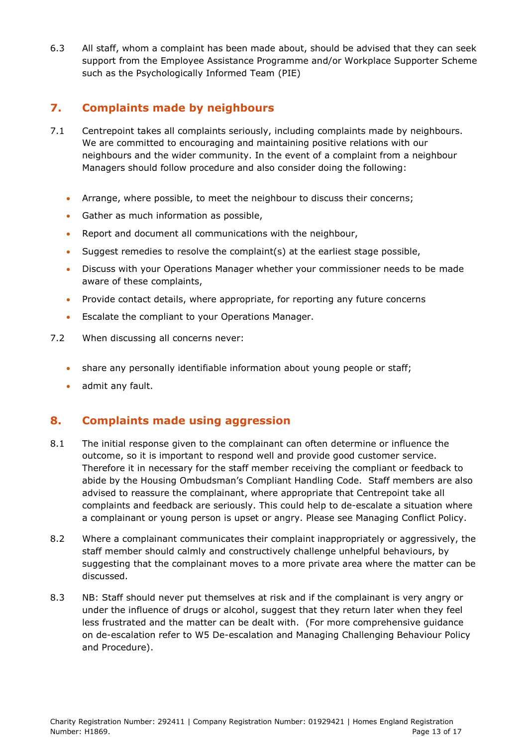6.3 All staff, whom a complaint has been made about, should be advised that they can seek support from the Employee Assistance Programme and/or Workplace Supporter Scheme such as the Psychologically Informed Team (PIE)

# <span id="page-12-0"></span>**7. Complaints made by neighbours**

- 7.1 Centrepoint takes all complaints seriously, including complaints made by neighbours. We are committed to encouraging and maintaining positive relations with our neighbours and the wider community. In the event of a complaint from a neighbour Managers should follow procedure and also consider doing the following:
	- Arrange, where possible, to meet the neighbour to discuss their concerns;
	- Gather as much information as possible,
	- Report and document all communications with the neighbour,
	- Suggest remedies to resolve the complaint(s) at the earliest stage possible,
	- Discuss with your Operations Manager whether your commissioner needs to be made aware of these complaints,
	- Provide contact details, where appropriate, for reporting any future concerns
	- Escalate the compliant to your Operations Manager.
- 7.2 When discussing all concerns never:
	- share any personally identifiable information about young people or staff;
	- admit any fault.

## <span id="page-12-1"></span>**8. Complaints made using aggression**

- 8.1 The initial response given to the complainant can often determine or influence the outcome, so it is important to respond well and provide good customer service. Therefore it in necessary for the staff member receiving the compliant or feedback to abide by the Housing Ombudsman's Compliant Handling Code. Staff members are also advised to reassure the complainant, where appropriate that Centrepoint take all complaints and feedback are seriously. This could help to de-escalate a situation where a complainant or young person is upset or angry. Please see Managing Conflict Policy.
- 8.2 Where a complainant communicates their complaint inappropriately or aggressively, the staff member should calmly and constructively challenge unhelpful behaviours, by suggesting that the complainant moves to a more private area where the matter can be discussed.
- 8.3 NB: Staff should never put themselves at risk and if the complainant is very angry or under the influence of drugs or alcohol, suggest that they return later when they feel less frustrated and the matter can be dealt with. (For more comprehensive guidance on de-escalation refer to W5 De-escalation and Managing Challenging Behaviour Policy and Procedure).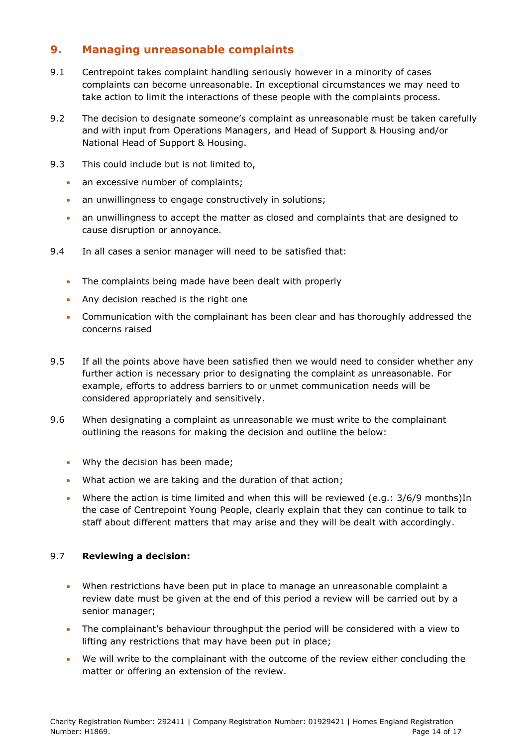# <span id="page-13-0"></span>**9. Managing unreasonable complaints**

- 9.1 Centrepoint takes complaint handling seriously however in a minority of cases complaints can become unreasonable. In exceptional circumstances we may need to take action to limit the interactions of these people with the complaints process.
- 9.2 The decision to designate someone's complaint as unreasonable must be taken carefully and with input from Operations Managers, and Head of Support & Housing and/or National Head of Support & Housing.
- 9.3 This could include but is not limited to,
	- an excessive number of complaints;
	- an unwillingness to engage constructively in solutions;
	- an unwillingness to accept the matter as closed and complaints that are designed to cause disruption or annoyance.
- 9.4 In all cases a senior manager will need to be satisfied that:
	- The complaints being made have been dealt with properly
	- Any decision reached is the right one
	- Communication with the complainant has been clear and has thoroughly addressed the concerns raised
- 9.5 If all the points above have been satisfied then we would need to consider whether any further action is necessary prior to designating the complaint as unreasonable. For example, efforts to address barriers to or unmet communication needs will be considered appropriately and sensitively.
- 9.6 When designating a complaint as unreasonable we must write to the complainant outlining the reasons for making the decision and outline the below:
	- Why the decision has been made;
	- What action we are taking and the duration of that action;
	- Where the action is time limited and when this will be reviewed (e.g.: 3/6/9 months)In the case of Centrepoint Young People, clearly explain that they can continue to talk to staff about different matters that may arise and they will be dealt with accordingly.

#### 9.7 **Reviewing a decision:**

- When restrictions have been put in place to manage an unreasonable complaint a review date must be given at the end of this period a review will be carried out by a senior manager;
- The complainant's behaviour throughput the period will be considered with a view to lifting any restrictions that may have been put in place;
- We will write to the complainant with the outcome of the review either concluding the matter or offering an extension of the review.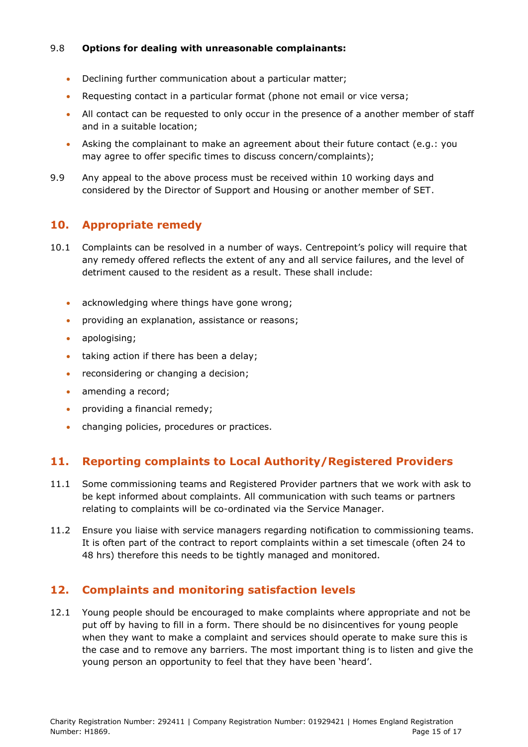#### 9.8 **Options for dealing with unreasonable complainants:**

- Declining further communication about a particular matter;
- Requesting contact in a particular format (phone not email or vice versa;
- All contact can be requested to only occur in the presence of a another member of staff and in a suitable location;
- Asking the complainant to make an agreement about their future contact (e.g.: you may agree to offer specific times to discuss concern/complaints);
- 9.9 Any appeal to the above process must be received within 10 working days and considered by the Director of Support and Housing or another member of SET.

## <span id="page-14-0"></span>**10. Appropriate remedy**

- 10.1 Complaints can be resolved in a number of ways. Centrepoint's policy will require that any remedy offered reflects the extent of any and all service failures, and the level of detriment caused to the resident as a result. These shall include:
	- acknowledging where things have gone wrong;
	- providing an explanation, assistance or reasons;
	- apologising;
	- taking action if there has been a delay;
	- reconsidering or changing a decision;
	- amending a record;
	- providing a financial remedy;
	- changing policies, procedures or practices.

# <span id="page-14-1"></span>**11. Reporting complaints to Local Authority/Registered Providers**

- 11.1 Some commissioning teams and Registered Provider partners that we work with ask to be kept informed about complaints. All communication with such teams or partners relating to complaints will be co-ordinated via the Service Manager.
- 11.2 Ensure you liaise with service managers regarding notification to commissioning teams. It is often part of the contract to report complaints within a set timescale (often 24 to 48 hrs) therefore this needs to be tightly managed and monitored.

# <span id="page-14-2"></span>**12. Complaints and monitoring satisfaction levels**

12.1 Young people should be encouraged to make complaints where appropriate and not be put off by having to fill in a form. There should be no disincentives for young people when they want to make a complaint and services should operate to make sure this is the case and to remove any barriers. The most important thing is to listen and give the young person an opportunity to feel that they have been 'heard'.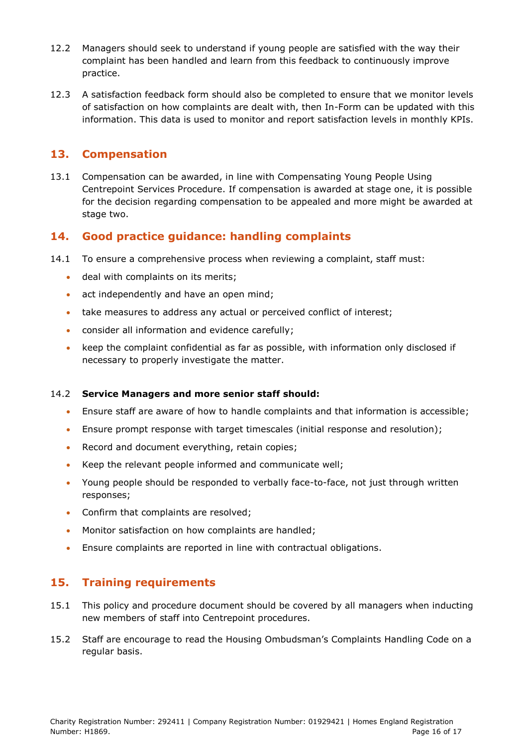- 12.2 Managers should seek to understand if young people are satisfied with the way their complaint has been handled and learn from this feedback to continuously improve practice.
- 12.3 A satisfaction feedback form should also be completed to ensure that we monitor levels of satisfaction on how complaints are dealt with, then In-Form can be updated with this information. This data is used to monitor and report satisfaction levels in monthly KPIs.

# <span id="page-15-0"></span>**13. Compensation**

13.1 Compensation can be awarded, in line with Compensating Young People Using Centrepoint Services Procedure. If compensation is awarded at stage one, it is possible for the decision regarding compensation to be appealed and more might be awarded at stage two.

## <span id="page-15-1"></span>**14. Good practice guidance: handling complaints**

- 14.1 To ensure a comprehensive process when reviewing a complaint, staff must:
	- deal with complaints on its merits;
	- act independently and have an open mind;
	- take measures to address any actual or perceived conflict of interest;
	- consider all information and evidence carefully;
	- keep the complaint confidential as far as possible, with information only disclosed if necessary to properly investigate the matter.

#### 14.2 **Service Managers and more senior staff should:**

- Ensure staff are aware of how to handle complaints and that information is accessible;
- Ensure prompt response with target timescales (initial response and resolution);
- Record and document everything, retain copies;
- Keep the relevant people informed and communicate well;
- Young people should be responded to verbally face-to-face, not just through written responses;
- Confirm that complaints are resolved;
- Monitor satisfaction on how complaints are handled;
- Ensure complaints are reported in line with contractual obligations.

## <span id="page-15-2"></span>**15. Training requirements**

- 15.1 This policy and procedure document should be covered by all managers when inducting new members of staff into Centrepoint procedures.
- 15.2 Staff are encourage to read the Housing Ombudsman's Complaints Handling Code on a regular basis.